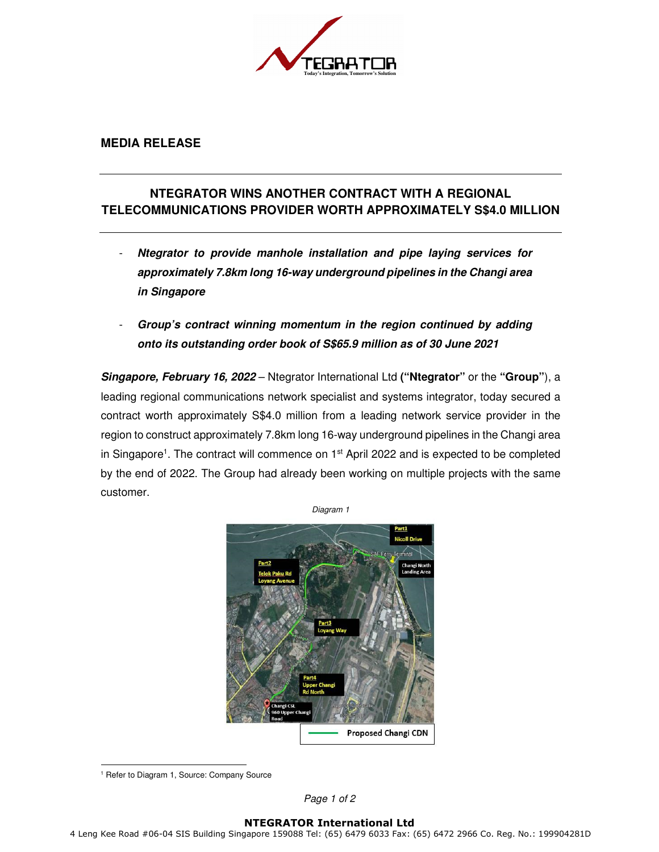

## **MEDIA RELEASE**

## **NTEGRATOR WINS ANOTHER CONTRACT WITH A REGIONAL TELECOMMUNICATIONS PROVIDER WORTH APPROXIMATELY S\$4.0 MILLION**

- **Ntegrator to provide manhole installation and pipe laying services for approximately 7.8km long 16-way underground pipelines in the Changi area in Singapore**
- **Group's contract winning momentum in the region continued by adding onto its outstanding order book of S\$65.9 million as of 30 June 2021**

**Singapore, February 16, 2022** – Ntegrator International Ltd **("Ntegrator"** or the **"Group"**), a leading regional communications network specialist and systems integrator, today secured a contract worth approximately S\$4.0 million from a leading network service provider in the region to construct approximately 7.8km long 16-way underground pipelines in the Changi area in Singapore<sup>1</sup>. The contract will commence on 1<sup>st</sup> April 2022 and is expected to be completed by the end of 2022. The Group had already been working on multiple projects with the same customer.



<sup>1</sup> Refer to Diagram 1, Source: Company Source

Page 1 of 2

## **NTEGRATOR International Ltd**

4 Leng Kee Road #06-04 SIS Building Singapore 159088 Tel: (65) 6479 6033 Fax: (65) 6472 2966 Co. Reg. No.: 199904281D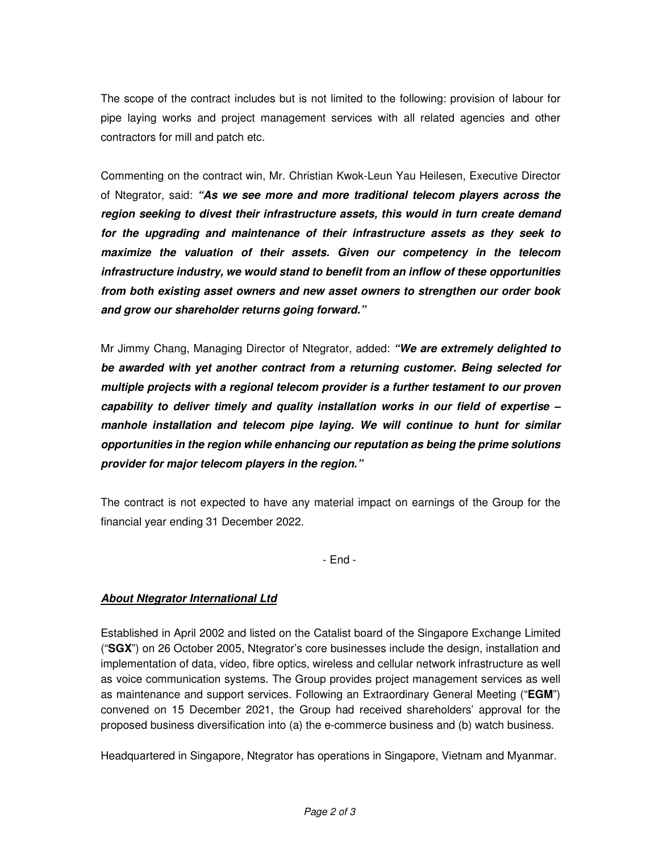The scope of the contract includes but is not limited to the following: provision of labour for pipe laying works and project management services with all related agencies and other contractors for mill and patch etc.

Commenting on the contract win, Mr. Christian Kwok-Leun Yau Heilesen, Executive Director of Ntegrator, said: **"As we see more and more traditional telecom players across the region seeking to divest their infrastructure assets, this would in turn create demand for the upgrading and maintenance of their infrastructure assets as they seek to maximize the valuation of their assets. Given our competency in the telecom infrastructure industry, we would stand to benefit from an inflow of these opportunities from both existing asset owners and new asset owners to strengthen our order book and grow our shareholder returns going forward."** 

Mr Jimmy Chang, Managing Director of Ntegrator, added: **"We are extremely delighted to be awarded with yet another contract from a returning customer. Being selected for multiple projects with a regional telecom provider is a further testament to our proven capability to deliver timely and quality installation works in our field of expertise – manhole installation and telecom pipe laying. We will continue to hunt for similar opportunities in the region while enhancing our reputation as being the prime solutions provider for major telecom players in the region."** 

The contract is not expected to have any material impact on earnings of the Group for the financial year ending 31 December 2022.

- End -

## **About Ntegrator International Ltd**

Established in April 2002 and listed on the Catalist board of the Singapore Exchange Limited ("**SGX**") on 26 October 2005, Ntegrator's core businesses include the design, installation and implementation of data, video, fibre optics, wireless and cellular network infrastructure as well as voice communication systems. The Group provides project management services as well as maintenance and support services. Following an Extraordinary General Meeting ("**EGM**") convened on 15 December 2021, the Group had received shareholders' approval for the proposed business diversification into (a) the e-commerce business and (b) watch business.

Headquartered in Singapore, Ntegrator has operations in Singapore, Vietnam and Myanmar.